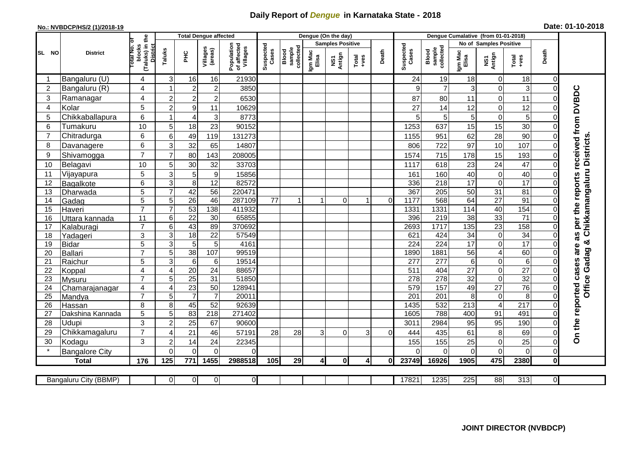## **Daily Report of** *Dengue* **in Karnataka State - 2018**

## **No.: NVBDCP/HS/2 (1)/2018-19 Date: 01-10-2018**

|                                                                                                                                                | <b>District</b>         | ₽                                               | <b>Total Dengue affected</b>     |                                   |                           |                                       |                    |                              |                         | Dengue (On the day) |                                                              |                |                    |                              |                        |                            |                                                                               |                      |                                        |
|------------------------------------------------------------------------------------------------------------------------------------------------|-------------------------|-------------------------------------------------|----------------------------------|-----------------------------------|---------------------------|---------------------------------------|--------------------|------------------------------|-------------------------|---------------------|--------------------------------------------------------------|----------------|--------------------|------------------------------|------------------------|----------------------------|-------------------------------------------------------------------------------|----------------------|----------------------------------------|
|                                                                                                                                                |                         |                                                 |                                  |                                   |                           | Population<br>of affected<br>Villages | Suspected<br>Cases |                              | <b>Samples Positive</b> |                     |                                                              |                |                    |                              | No of Samples Positive |                            |                                                                               |                      |                                        |
| SL NO                                                                                                                                          |                         | (Taluks) in t<br>District<br>otal No.<br>blocks | Taluks                           | Ξ                                 | Villages<br>(areas)       |                                       |                    | Blood<br>sample<br>collected | Igm Mac<br>Elisa        | Antign<br>VS7       | $\begin{array}{c}\n\text{Total} \\ \text{+ves}\n\end{array}$ | Death          | Suspected<br>Cases | Blood<br>sample<br>collected | Igm Mac<br>Elisa       | NS1<br>Antign              | Death<br>$\begin{array}{c}\n\text{Total} \\ \text{1} & \text{1}\n\end{array}$ |                      |                                        |
|                                                                                                                                                | Bangaluru (U)           | 4                                               | 3                                | 16                                | 16                        | 21930                                 |                    |                              |                         |                     |                                                              |                | 24                 | 19                           | 18                     | $\mathbf 0$                | 18                                                                            | $\mathbf 0$          |                                        |
| $\overline{c}$                                                                                                                                 | Bangaluru (R)           | 4                                               | 1                                | $\mathbf 2$                       | $\overline{c}$            | 3850                                  |                    |                              |                         |                     |                                                              |                | 9                  | $\overline{7}$               | 3                      | $\mathbf 0$                | 3                                                                             | $\Omega$             |                                        |
| 3                                                                                                                                              | Ramanagar               | 4                                               | $\mathbf 2$                      | $\boldsymbol{2}$                  | $\overline{\mathbf{c}}$   | 6530                                  |                    |                              |                         |                     |                                                              |                | 87                 | 80                           | 11                     | $\mathbf 0$                | 11                                                                            | $\Omega$             | as per the reports received from DVBDC |
| 4                                                                                                                                              | Kolar                   | 5                                               | $\overline{2}$                   | $\mathsf g$                       | 11                        | 10629                                 |                    |                              |                         |                     |                                                              |                | 27                 | 14                           | 12                     | $\mathbf 0$                | 12                                                                            | $\Omega$             |                                        |
| 5                                                                                                                                              | Chikkaballapura         | 6                                               | 1                                | $\overline{\mathcal{L}}$          | $\ensuremath{\mathsf{3}}$ | 8773                                  |                    |                              |                         |                     |                                                              |                | 5                  | 5                            | 5                      | $\boldsymbol{0}$           | 5                                                                             | $\Omega$             |                                        |
| 6                                                                                                                                              | Tumakuru                | 10                                              | 5                                | 18                                | 23                        | 90152                                 |                    |                              |                         |                     |                                                              |                | 1253               | 637                          | 15                     | 15                         | 30                                                                            | $\Omega$             |                                        |
| 7                                                                                                                                              | Chitradurga             | 6                                               | 6                                | 49                                | 119                       | 131273                                |                    |                              |                         |                     |                                                              |                | 1155               | 951                          | 62                     | 28                         | 90                                                                            | $\Omega$             |                                        |
| 8                                                                                                                                              | Davanagere              | 6                                               | 3                                | 32                                | 65                        | 14807                                 |                    |                              |                         |                     |                                                              |                | 806                | 722                          | 97                     | 10                         | 107                                                                           | $\Omega$             | Chikkamangaluru Districts              |
| 9                                                                                                                                              | Shivamogga              | $\overline{7}$                                  | $\overline{7}$                   | 80                                | 143                       | 208005                                |                    |                              |                         |                     |                                                              |                | 1574               | 715                          | 178                    | 15                         | 193                                                                           | $\Omega$             |                                        |
| 10                                                                                                                                             | Belagavi                | 10                                              | 5                                | 30                                | 32                        | 33703                                 |                    |                              |                         |                     |                                                              |                | 1117               | 618                          | 23                     | 24                         | 47                                                                            | $\Omega$             |                                        |
| 11                                                                                                                                             | Vijayapura              | 5                                               | 3                                | $\sqrt{5}$                        | $9\,$                     | 15856                                 |                    |                              |                         |                     |                                                              |                | 161                | 160                          | 40                     | $\pmb{0}$                  | 40                                                                            |                      |                                        |
| 12                                                                                                                                             | Bagalkote               | 6                                               | $\overline{3}$                   | $\overline{8}$                    | 12                        | 82572                                 |                    |                              |                         |                     |                                                              |                | 336                | 218                          | $\overline{17}$        | $\mathbf 0$                | $\overline{17}$                                                               | $\Omega$             |                                        |
| 13                                                                                                                                             | Dharwada                | 5                                               | $\overline{7}$                   | 42                                | 56                        | 220471                                |                    |                              |                         |                     |                                                              |                | 367                | 205                          | 50                     | 31                         | 81                                                                            | 0                    |                                        |
| 14                                                                                                                                             | Gadag                   | $\overline{5}$                                  | $\overline{5}$                   | 26                                | 46                        | 287109                                | 77                 |                              | -1                      | $\mathbf 0$         | 1                                                            | $\overline{0}$ | 1177               | 568                          | 64                     | $\overline{27}$            | 91                                                                            | $\overline{0}$       |                                        |
| 15                                                                                                                                             | Haveri                  | $\overline{7}$                                  | $\overline{7}$                   | 53                                | 138                       | 411932                                |                    |                              |                         |                     |                                                              |                | 1331               | 1331                         | $\frac{114}{114}$      | 40                         | 154                                                                           | $\Omega$             |                                        |
| 16                                                                                                                                             | Uttara kannada          | 11                                              | 6                                | $\overline{22}$                   | 30                        | 65855                                 |                    |                              |                         |                     |                                                              |                | 396                | 219                          | $\overline{38}$        | 33                         | $\overline{71}$                                                               | 0                    |                                        |
| 17                                                                                                                                             | Kalaburagi              | $\overline{7}$                                  | 6                                | 43                                | 89                        | 370692                                |                    |                              |                         |                     |                                                              |                | 2693               | 1717                         | $\frac{1}{135}$        | 23                         | 158                                                                           | $\overline{0}$       |                                        |
| 18                                                                                                                                             | Yadageri                | 3                                               | 3                                | $\overline{18}$                   | 22                        | 57549                                 |                    |                              |                         |                     |                                                              |                | 621                | 424                          | 34                     | $\mathbf 0$                | 34                                                                            |                      | ×                                      |
| 19                                                                                                                                             | <b>Bidar</b>            | 5                                               | 3                                | 5                                 | $\overline{5}$            | 4161                                  |                    |                              |                         |                     |                                                              |                | 224                | 224                          | 17                     | $\overline{\mathsf{o}}$    | 17                                                                            |                      | are                                    |
| 20                                                                                                                                             | Ballari                 | $\overline{7}$                                  | 5                                | 38                                | 107                       | 99519                                 |                    |                              |                         |                     |                                                              |                | 1890               | 1881                         | 56                     | $\overline{4}$             | 60                                                                            |                      |                                        |
| 21<br>22                                                                                                                                       | Raichur                 | 5<br>$\overline{\mathbf{4}}$                    | $\overline{3}$<br>$\overline{4}$ | $\overline{6}$<br>$\overline{20}$ | 6<br>24                   | 19514<br>88657                        |                    |                              |                         |                     |                                                              |                | 277<br>511         | $\overline{277}$<br>404      | $6\phantom{1}$<br>27   | $\mathbf 0$<br>$\mathbf 0$ | $\,6\,$<br>27                                                                 | $\Omega$<br>$\Omega$ | <b>Office Gadag</b>                    |
| 23                                                                                                                                             | Koppal<br><b>Mysuru</b> | $\overline{7}$                                  | 5                                | $\overline{25}$                   | $\overline{31}$           | 51850                                 |                    |                              |                         |                     |                                                              |                | 278                | 278                          | $\overline{32}$        | $\boldsymbol{0}$           | $\overline{32}$                                                               | $\Omega$             |                                        |
| 24                                                                                                                                             | Chamarajanagar          | $\overline{4}$                                  | $\overline{4}$                   | 23                                | 50                        | 128941                                |                    |                              |                         |                     |                                                              |                | 579                | 157                          | 49                     | $\overline{27}$            | 76                                                                            | $\Omega$             |                                        |
| 25                                                                                                                                             | Mandya                  | $\overline{7}$                                  | 5                                | $\overline{7}$                    | $\overline{7}$            | 20011                                 |                    |                              |                         |                     |                                                              |                | $\overline{201}$   | $\overline{201}$             | $\overline{8}$         | $\pmb{0}$                  | 8                                                                             | $\Omega$             |                                        |
| 26                                                                                                                                             | Hassan                  | 8                                               | 8                                | 45                                | 52                        | 92639                                 |                    |                              |                         |                     |                                                              |                | 1435               | 532                          | 213                    | $\overline{4}$             | $\overline{217}$                                                              | $\Omega$             |                                        |
| 27                                                                                                                                             | Dakshina Kannada        | 5                                               | 5                                | 83                                | $\overline{218}$          | 271402                                |                    |                              |                         |                     |                                                              |                | 1605               | 788                          | 400                    | 91                         | 491                                                                           | $\Omega$             |                                        |
| 28                                                                                                                                             | Udupi                   | 3                                               | $\overline{2}$                   | $\overline{25}$                   | 67                        | 90600                                 |                    |                              |                         |                     |                                                              |                | 3011               | 2984                         | 95                     | 95                         | 190                                                                           | $\Omega$             |                                        |
| 29                                                                                                                                             | Chikkamagaluru          | $\overline{7}$                                  | $\boldsymbol{\Delta}$            | $\overline{21}$                   | 46                        | 57191                                 | 28                 | 28                           | 3                       | $\Omega$            | 3                                                            | 0              | 444                | 435                          | 61                     | 8                          | 69                                                                            | 0                    | On the reported cases                  |
| 30                                                                                                                                             | Kodagu                  | 3                                               | $\overline{c}$                   | 14                                | 24                        | 22345                                 |                    |                              |                         |                     |                                                              |                | 155                | 155                          | 25                     | $\mathbf 0$                | 25                                                                            | $\Omega$             |                                        |
|                                                                                                                                                | <b>Bangalore City</b>   |                                                 | $\Omega$                         | $\overline{0}$                    | $\mathbf 0$               | $\Omega$                              |                    |                              |                         |                     |                                                              |                | $\Omega$           | $\mathbf 0$                  | $\mathbf 0$            | $\mathbf 0$                | $\overline{0}$                                                                | $\mathbf 0$          |                                        |
|                                                                                                                                                | <b>Total</b>            | 176                                             | 125                              | 771                               | 1455                      | 2988518                               | 105                | 29                           | 41                      | 0                   | $\overline{4}$                                               | $\bf{0}$       | 23749              | 16926                        | 1905                   | 475                        | 2380                                                                          | $\mathbf 0$          |                                        |
|                                                                                                                                                |                         |                                                 |                                  |                                   |                           |                                       |                    |                              |                         |                     |                                                              |                |                    |                              |                        |                            |                                                                               |                      |                                        |
| $\overline{0}$<br>$\overline{0}$<br>$\overline{0}$<br>17821<br>1235<br>225<br>88<br>313<br>$\overline{0}$<br>Bangaluru City (BBMP)<br>$\Omega$ |                         |                                                 |                                  |                                   |                           |                                       |                    |                              |                         |                     |                                                              |                |                    |                              |                        |                            |                                                                               |                      |                                        |